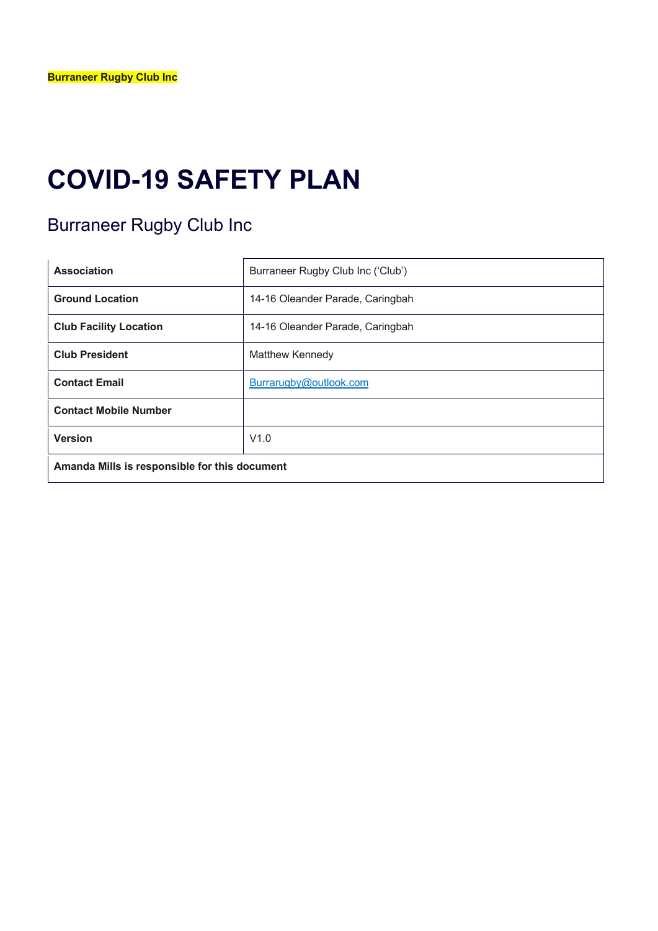# **COVID-19 SAFETY PLAN**

## Burraneer Rugby Club Inc

| <b>Association</b>                            | Burraneer Rugby Club Inc ('Club') |  |
|-----------------------------------------------|-----------------------------------|--|
| <b>Ground Location</b>                        | 14-16 Oleander Parade, Caringbah  |  |
| <b>Club Facility Location</b>                 | 14-16 Oleander Parade, Caringbah  |  |
| <b>Club President</b>                         | Matthew Kennedy                   |  |
| <b>Contact Email</b>                          | Burrarugby@outlook.com            |  |
| <b>Contact Mobile Number</b>                  |                                   |  |
| <b>Version</b>                                | V1.0                              |  |
| Amanda Mills is responsible for this document |                                   |  |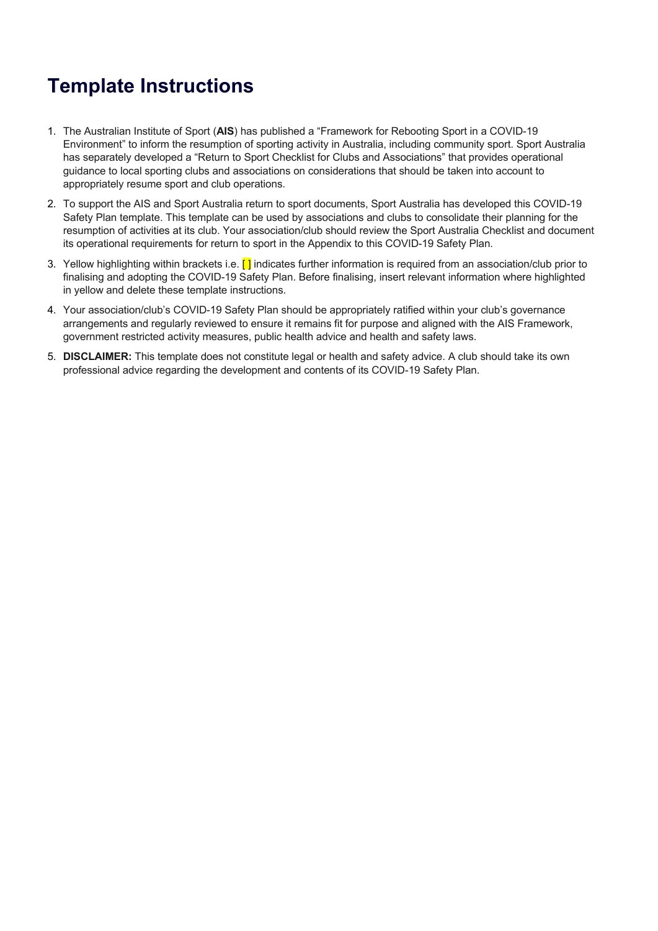## **Template Instructions**

- 1. The Australian Institute of Sport (**AIS**) has published a "Framework for Rebooting Sport in a COVID-19 Environment" to inform the resumption of sporting activity in Australia, including community sport. Sport Australia has separately developed a "Return to Sport Checklist for Clubs and Associations" that provides operational guidance to local sporting clubs and associations on considerations that should be taken into account to appropriately resume sport and club operations.
- 2. To support the AIS and Sport Australia return to sport documents, Sport Australia has developed this COVID-19 Safety Plan template. This template can be used by associations and clubs to consolidate their planning for the resumption of activities at its club. Your association/club should review the Sport Australia Checklist and document its operational requirements for return to sport in the Appendix to this COVID-19 Safety Plan.
- 3. Yellow highlighting within brackets i.e.  $\lceil \cdot \rceil$  indicates further information is required from an association/club prior to finalising and adopting the COVID-19 Safety Plan. Before finalising, insert relevant information where highlighted in yellow and delete these template instructions.
- 4. Your association/club's COVID-19 Safety Plan should be appropriately ratified within your club's governance arrangements and regularly reviewed to ensure it remains fit for purpose and aligned with the AIS Framework, government restricted activity measures, public health advice and health and safety laws.
- 5. **DISCLAIMER:** This template does not constitute legal or health and safety advice. A club should take its own professional advice regarding the development and contents of its COVID-19 Safety Plan.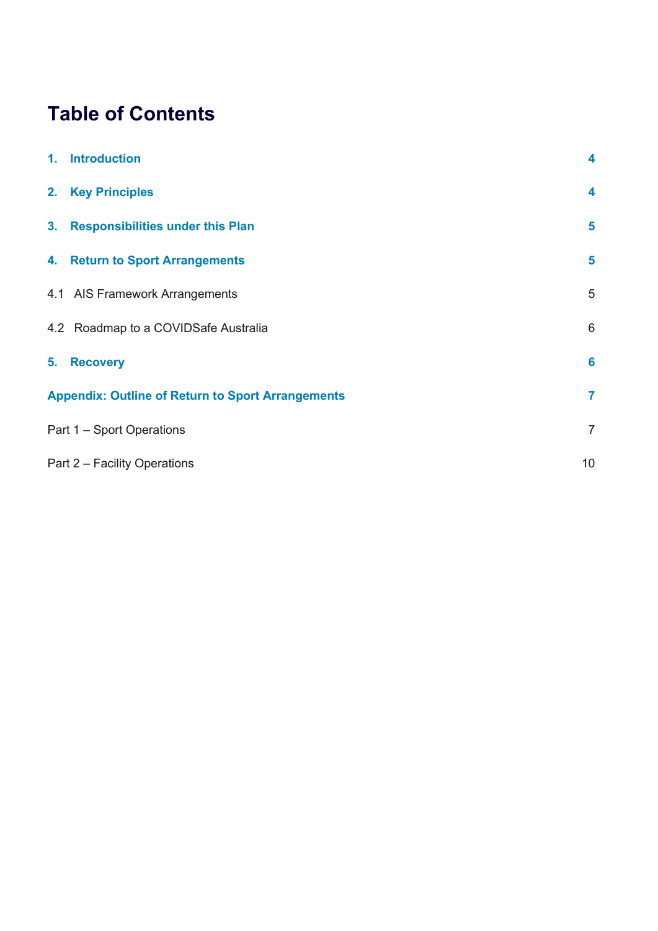# **Table of Contents**

| 1. Introduction                                          | 4              |
|----------------------------------------------------------|----------------|
| 2. Key Principles                                        | 4              |
| 3. Responsibilities under this Plan                      | 5              |
| 4. Return to Sport Arrangements                          | 5              |
| 4.1 AIS Framework Arrangements                           | 5              |
| 4.2 Roadmap to a COVIDSafe Australia                     | $6\,$          |
| 5. Recovery                                              | $6\phantom{a}$ |
| <b>Appendix: Outline of Return to Sport Arrangements</b> | $\overline{7}$ |
| Part 1 – Sport Operations                                | $\overline{7}$ |
| Part 2 - Facility Operations                             | 10             |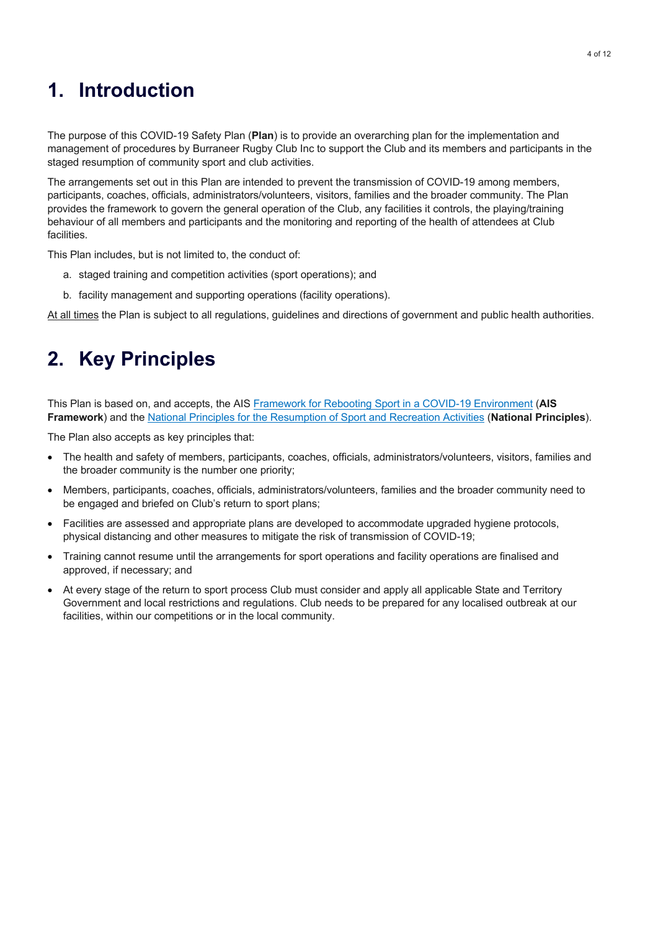## **1. Introduction**

The purpose of this COVID-19 Safety Plan (**Plan**) is to provide an overarching plan for the implementation and management of procedures by Burraneer Rugby Club Inc to support the Club and its members and participants in the staged resumption of community sport and club activities.

The arrangements set out in this Plan are intended to prevent the transmission of COVID-19 among members, participants, coaches, officials, administrators/volunteers, visitors, families and the broader community. The Plan provides the framework to govern the general operation of the Club, any facilities it controls, the playing/training behaviour of all members and participants and the monitoring and reporting of the health of attendees at Club facilities.

This Plan includes, but is not limited to, the conduct of:

- a. staged training and competition activities (sport operations); and
- b. facility management and supporting operations (facility operations).

At all times the Plan is subject to all regulations, guidelines and directions of government and public health authorities.

## **2. Key Principles**

This Plan is based on, and accepts, the AIS Framework for Rebooting Sport in a COVID-19 Environment (**AIS Framework**) and the National Principles for the Resumption of Sport and Recreation Activities (**National Principles**).

The Plan also accepts as key principles that:

- The health and safety of members, participants, coaches, officials, administrators/volunteers, visitors, families and the broader community is the number one priority;
- Members, participants, coaches, officials, administrators/volunteers, families and the broader community need to be engaged and briefed on Club's return to sport plans;
- Facilities are assessed and appropriate plans are developed to accommodate upgraded hygiene protocols, physical distancing and other measures to mitigate the risk of transmission of COVID-19;
- Training cannot resume until the arrangements for sport operations and facility operations are finalised and approved, if necessary; and
- At every stage of the return to sport process Club must consider and apply all applicable State and Territory Government and local restrictions and regulations. Club needs to be prepared for any localised outbreak at our facilities, within our competitions or in the local community.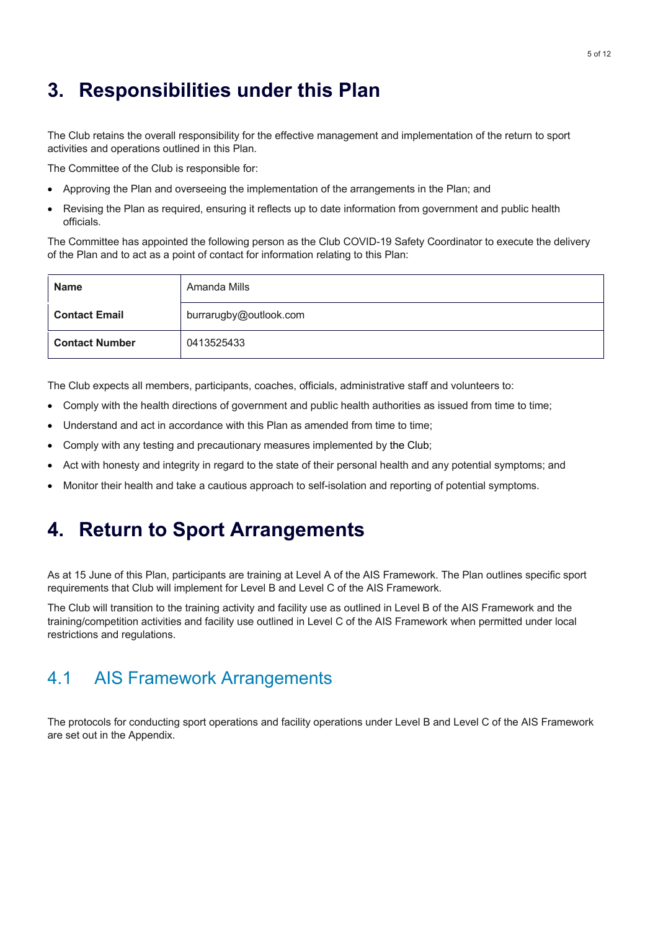## **3. Responsibilities under this Plan**

The Club retains the overall responsibility for the effective management and implementation of the return to sport activities and operations outlined in this Plan.

The Committee of the Club is responsible for:

- Approving the Plan and overseeing the implementation of the arrangements in the Plan; and
- Revising the Plan as required, ensuring it reflects up to date information from government and public health officials.

The Committee has appointed the following person as the Club COVID-19 Safety Coordinator to execute the delivery of the Plan and to act as a point of contact for information relating to this Plan:

| <b>Name</b>           | Amanda Mills           |
|-----------------------|------------------------|
| <b>Contact Email</b>  | burrarugby@outlook.com |
| <b>Contact Number</b> | 0413525433             |

The Club expects all members, participants, coaches, officials, administrative staff and volunteers to:

- Comply with the health directions of government and public health authorities as issued from time to time;
- Understand and act in accordance with this Plan as amended from time to time:
- Comply with any testing and precautionary measures implemented by the Club;
- Act with honesty and integrity in regard to the state of their personal health and any potential symptoms; and
- Monitor their health and take a cautious approach to self-isolation and reporting of potential symptoms.

### **4. Return to Sport Arrangements**

As at 15 June of this Plan, participants are training at Level A of the AIS Framework. The Plan outlines specific sport requirements that Club will implement for Level B and Level C of the AIS Framework.

The Club will transition to the training activity and facility use as outlined in Level B of the AIS Framework and the training/competition activities and facility use outlined in Level C of the AIS Framework when permitted under local restrictions and regulations.

#### 4.1 AIS Framework Arrangements

The protocols for conducting sport operations and facility operations under Level B and Level C of the AIS Framework are set out in the Appendix.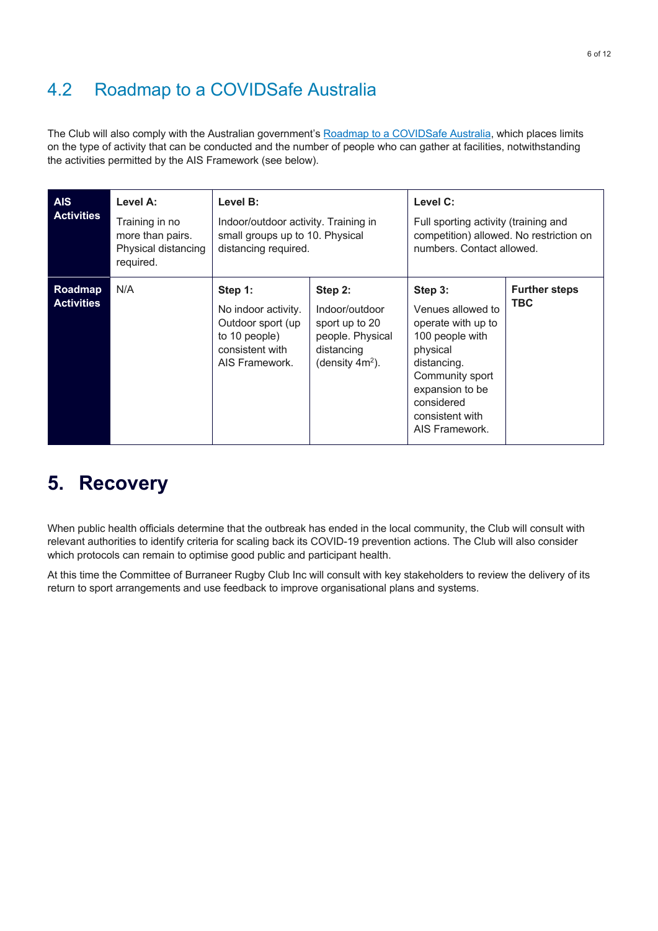#### 4.2 Roadmap to a COVIDSafe Australia

The Club will also comply with the Australian government's Roadmap to a COVIDSafe Australia, which places limits on the type of activity that can be conducted and the number of people who can gather at facilities, notwithstanding the activities permitted by the AIS Framework (see below).

| <b>AIS</b><br><b>Activities</b> | Level A:<br>Training in no<br>more than pairs.<br>Physical distancing<br>required. | Level B:<br>Indoor/outdoor activity. Training in<br>small groups up to 10. Physical<br>distancing required. |                                                                                                     | Level C:<br>Full sporting activity (training and<br>competition) allowed. No restriction on<br>numbers. Contact allowed.                                                                  |                                    |
|---------------------------------|------------------------------------------------------------------------------------|-------------------------------------------------------------------------------------------------------------|-----------------------------------------------------------------------------------------------------|-------------------------------------------------------------------------------------------------------------------------------------------------------------------------------------------|------------------------------------|
| Roadmap<br><b>Activities</b>    | N/A                                                                                | Step 1:<br>No indoor activity.<br>Outdoor sport (up<br>to 10 people)<br>consistent with<br>AIS Framework.   | Step 2:<br>Indoor/outdoor<br>sport up to 20<br>people. Physical<br>distancing<br>(density $4m^2$ ). | Step 3:<br>Venues allowed to<br>operate with up to<br>100 people with<br>physical<br>distancing.<br>Community sport<br>expansion to be<br>considered<br>consistent with<br>AIS Framework. | <b>Further steps</b><br><b>TBC</b> |

### **5. Recovery**

When public health officials determine that the outbreak has ended in the local community, the Club will consult with relevant authorities to identify criteria for scaling back its COVID-19 prevention actions. The Club will also consider which protocols can remain to optimise good public and participant health.

At this time the Committee of Burraneer Rugby Club Inc will consult with key stakeholders to review the delivery of its return to sport arrangements and use feedback to improve organisational plans and systems.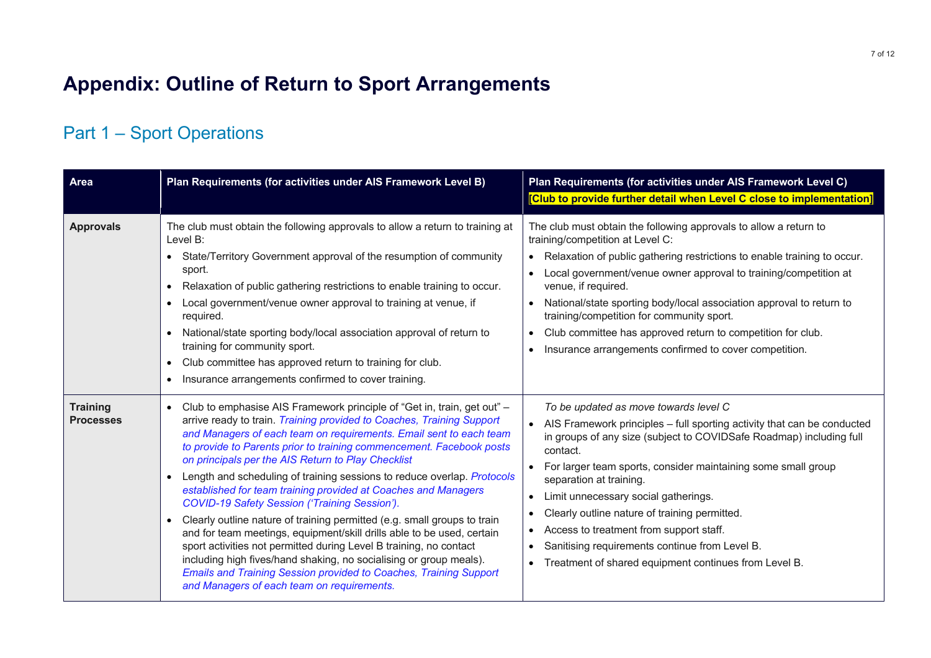## **Appendix: Outline of Return to Sport Arrangements**

### Part 1 – Sport Operations

| <b>Area</b>                         | Plan Requirements (for activities under AIS Framework Level B)                                                                                                                                                                                                                                                                                                                                                                                                                                                                                                                                                                                                                                                                                                                                                                                                                                                                                                                              | Plan Requirements (for activities under AIS Framework Level C)<br>[Club to provide further detail when Level C close to implementation]                                                                                                                                                                                                                                                                                                                                                                                                                                                            |
|-------------------------------------|---------------------------------------------------------------------------------------------------------------------------------------------------------------------------------------------------------------------------------------------------------------------------------------------------------------------------------------------------------------------------------------------------------------------------------------------------------------------------------------------------------------------------------------------------------------------------------------------------------------------------------------------------------------------------------------------------------------------------------------------------------------------------------------------------------------------------------------------------------------------------------------------------------------------------------------------------------------------------------------------|----------------------------------------------------------------------------------------------------------------------------------------------------------------------------------------------------------------------------------------------------------------------------------------------------------------------------------------------------------------------------------------------------------------------------------------------------------------------------------------------------------------------------------------------------------------------------------------------------|
| <b>Approvals</b>                    | The club must obtain the following approvals to allow a return to training at<br>Level B:<br>• State/Territory Government approval of the resumption of community<br>sport.<br>Relaxation of public gathering restrictions to enable training to occur.<br>$\bullet$<br>Local government/venue owner approval to training at venue, if<br>required.<br>National/state sporting body/local association approval of return to<br>training for community sport.<br>Club committee has approved return to training for club.<br>$\bullet$<br>Insurance arrangements confirmed to cover training.<br>$\bullet$                                                                                                                                                                                                                                                                                                                                                                                   | The club must obtain the following approvals to allow a return to<br>training/competition at Level C:<br>• Relaxation of public gathering restrictions to enable training to occur.<br>Local government/venue owner approval to training/competition at<br>$\bullet$<br>venue, if required.<br>National/state sporting body/local association approval to return to<br>training/competition for community sport.<br>Club committee has approved return to competition for club.<br>$\bullet$<br>Insurance arrangements confirmed to cover competition.<br>$\bullet$                                |
| <b>Training</b><br><b>Processes</b> | Club to emphasise AIS Framework principle of "Get in, train, get out" -<br>$\bullet$<br>arrive ready to train. Training provided to Coaches, Training Support<br>and Managers of each team on requirements. Email sent to each team<br>to provide to Parents prior to training commencement. Facebook posts<br>on principals per the AIS Return to Play Checklist<br>Length and scheduling of training sessions to reduce overlap. Protocols<br>established for team training provided at Coaches and Managers<br>COVID-19 Safety Session ('Training Session').<br>Clearly outline nature of training permitted (e.g. small groups to train<br>and for team meetings, equipment/skill drills able to be used, certain<br>sport activities not permitted during Level B training, no contact<br>including high fives/hand shaking, no socialising or group meals).<br><b>Emails and Training Session provided to Coaches, Training Support</b><br>and Managers of each team on requirements. | To be updated as move towards level C<br>AIS Framework principles - full sporting activity that can be conducted<br>in groups of any size (subject to COVIDSafe Roadmap) including full<br>contact.<br>For larger team sports, consider maintaining some small group<br>separation at training.<br>Limit unnecessary social gatherings.<br>$\bullet$<br>Clearly outline nature of training permitted.<br>$\bullet$<br>Access to treatment from support staff.<br>$\bullet$<br>Sanitising requirements continue from Level B.<br>Treatment of shared equipment continues from Level B.<br>$\bullet$ |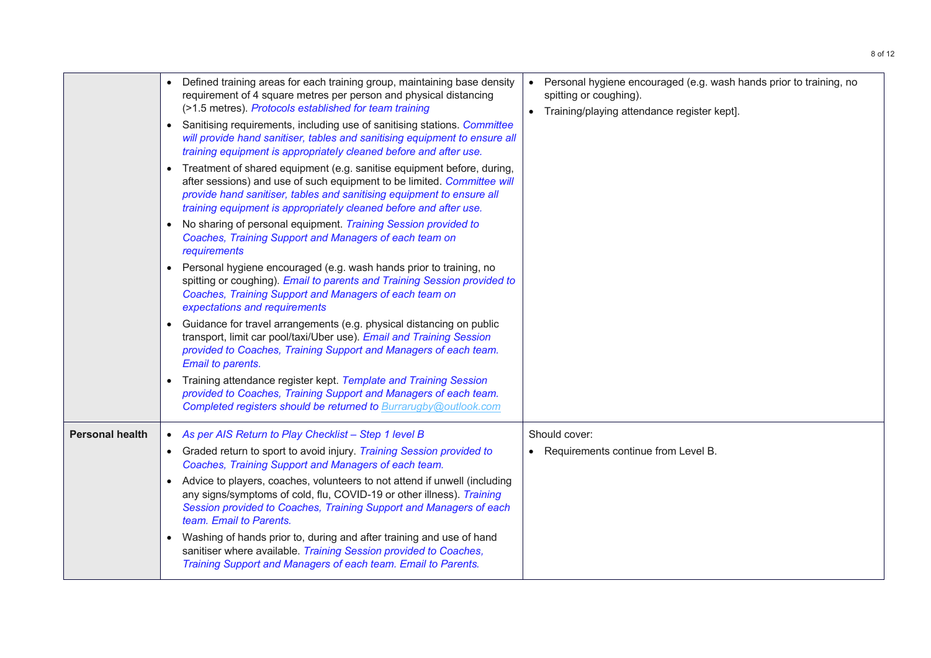|                        | Defined training areas for each training group, maintaining base density<br>requirement of 4 square metres per person and physical distancing<br>(>1.5 metres). Protocols established for team training<br>• Sanitising requirements, including use of sanitising stations. Committee<br>will provide hand sanitiser, tables and sanitising equipment to ensure all<br>training equipment is appropriately cleaned before and after use. | Personal hygiene encouraged (e.g. wash hands prior to training, no<br>spitting or coughing).<br>Training/playing attendance register kept]. |
|------------------------|------------------------------------------------------------------------------------------------------------------------------------------------------------------------------------------------------------------------------------------------------------------------------------------------------------------------------------------------------------------------------------------------------------------------------------------|---------------------------------------------------------------------------------------------------------------------------------------------|
|                        | Treatment of shared equipment (e.g. sanitise equipment before, during,<br>$\bullet$<br>after sessions) and use of such equipment to be limited. Committee will<br>provide hand sanitiser, tables and sanitising equipment to ensure all<br>training equipment is appropriately cleaned before and after use.                                                                                                                             |                                                                                                                                             |
|                        | No sharing of personal equipment. Training Session provided to<br>Coaches, Training Support and Managers of each team on<br>requirements                                                                                                                                                                                                                                                                                                 |                                                                                                                                             |
|                        | Personal hygiene encouraged (e.g. wash hands prior to training, no<br>$\bullet$<br>spitting or coughing). Email to parents and Training Session provided to<br>Coaches, Training Support and Managers of each team on<br>expectations and requirements                                                                                                                                                                                   |                                                                                                                                             |
|                        | Guidance for travel arrangements (e.g. physical distancing on public<br>$\bullet$<br>transport, limit car pool/taxi/Uber use). Email and Training Session<br>provided to Coaches, Training Support and Managers of each team.<br>Email to parents.                                                                                                                                                                                       |                                                                                                                                             |
|                        | Training attendance register kept. Template and Training Session<br>provided to Coaches, Training Support and Managers of each team.<br>Completed registers should be returned to Burrarugby@outlook.com                                                                                                                                                                                                                                 |                                                                                                                                             |
| <b>Personal health</b> | As per AIS Return to Play Checklist - Step 1 level B                                                                                                                                                                                                                                                                                                                                                                                     | Should cover:                                                                                                                               |
|                        | • Graded return to sport to avoid injury. Training Session provided to<br>Coaches, Training Support and Managers of each team.                                                                                                                                                                                                                                                                                                           | • Requirements continue from Level B.                                                                                                       |
|                        | Advice to players, coaches, volunteers to not attend if unwell (including<br>any signs/symptoms of cold, flu, COVID-19 or other illness). Training<br>Session provided to Coaches, Training Support and Managers of each<br>team. Email to Parents.                                                                                                                                                                                      |                                                                                                                                             |
|                        | Washing of hands prior to, during and after training and use of hand<br>sanitiser where available. Training Session provided to Coaches,<br>Training Support and Managers of each team. Email to Parents.                                                                                                                                                                                                                                |                                                                                                                                             |
|                        |                                                                                                                                                                                                                                                                                                                                                                                                                                          |                                                                                                                                             |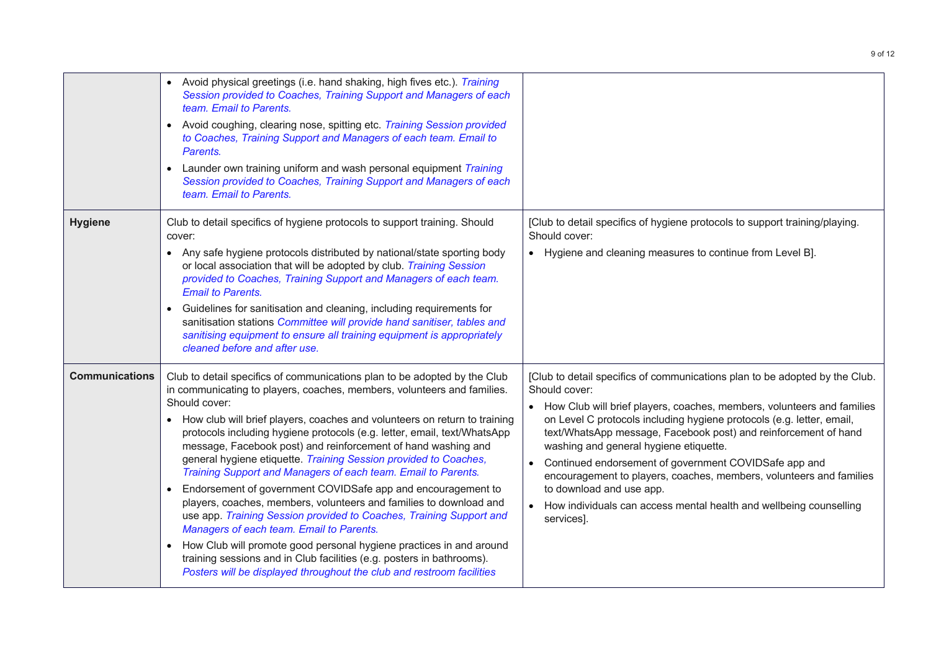|                       | Avoid physical greetings (i.e. hand shaking, high fives etc.). Training<br>Session provided to Coaches, Training Support and Managers of each<br>team. Email to Parents.<br>Avoid coughing, clearing nose, spitting etc. Training Session provided<br>to Coaches, Training Support and Managers of each team. Email to<br>Parents.<br>Launder own training uniform and wash personal equipment Training<br>$\bullet$<br>Session provided to Coaches, Training Support and Managers of each<br>team. Email to Parents.                                                                                                                                                                                                                                                                                                                                                                                                                                                                                                               |                                                                                                                                                                                                                                                                                                                                                                                                                                                                                                                                                                                                                                        |
|-----------------------|-------------------------------------------------------------------------------------------------------------------------------------------------------------------------------------------------------------------------------------------------------------------------------------------------------------------------------------------------------------------------------------------------------------------------------------------------------------------------------------------------------------------------------------------------------------------------------------------------------------------------------------------------------------------------------------------------------------------------------------------------------------------------------------------------------------------------------------------------------------------------------------------------------------------------------------------------------------------------------------------------------------------------------------|----------------------------------------------------------------------------------------------------------------------------------------------------------------------------------------------------------------------------------------------------------------------------------------------------------------------------------------------------------------------------------------------------------------------------------------------------------------------------------------------------------------------------------------------------------------------------------------------------------------------------------------|
| <b>Hygiene</b>        | Club to detail specifics of hygiene protocols to support training. Should<br>cover:<br>• Any safe hygiene protocols distributed by national/state sporting body<br>or local association that will be adopted by club. Training Session<br>provided to Coaches, Training Support and Managers of each team.<br><b>Email to Parents.</b><br>Guidelines for sanitisation and cleaning, including requirements for<br>$\bullet$<br>sanitisation stations Committee will provide hand sanitiser, tables and<br>sanitising equipment to ensure all training equipment is appropriately<br>cleaned before and after use.                                                                                                                                                                                                                                                                                                                                                                                                                   | [Club to detail specifics of hygiene protocols to support training/playing.<br>Should cover:<br>• Hygiene and cleaning measures to continue from Level B].                                                                                                                                                                                                                                                                                                                                                                                                                                                                             |
| <b>Communications</b> | Club to detail specifics of communications plan to be adopted by the Club<br>in communicating to players, coaches, members, volunteers and families.<br>Should cover:<br>How club will brief players, coaches and volunteers on return to training<br>protocols including hygiene protocols (e.g. letter, email, text/WhatsApp<br>message, Facebook post) and reinforcement of hand washing and<br>general hygiene etiquette. Training Session provided to Coaches,<br>Training Support and Managers of each team. Email to Parents.<br>Endorsement of government COVIDSafe app and encouragement to<br>players, coaches, members, volunteers and families to download and<br>use app. Training Session provided to Coaches, Training Support and<br>Managers of each team. Email to Parents.<br>How Club will promote good personal hygiene practices in and around<br>$\bullet$<br>training sessions and in Club facilities (e.g. posters in bathrooms).<br>Posters will be displayed throughout the club and restroom facilities | [Club to detail specifics of communications plan to be adopted by the Club.<br>Should cover:<br>How Club will brief players, coaches, members, volunteers and families<br>on Level C protocols including hygiene protocols (e.g. letter, email,<br>text/WhatsApp message, Facebook post) and reinforcement of hand<br>washing and general hygiene etiquette.<br>Continued endorsement of government COVIDSafe app and<br>$\bullet$<br>encouragement to players, coaches, members, volunteers and families<br>to download and use app.<br>How individuals can access mental health and wellbeing counselling<br>$\bullet$<br>services]. |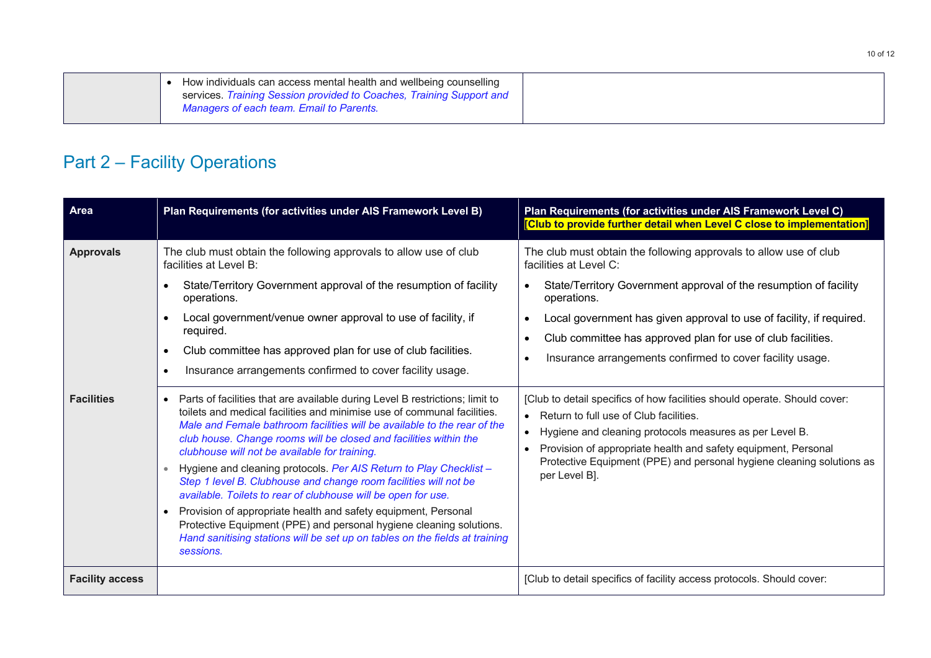| How individuals can access mental health and wellbeing counselling   |  |
|----------------------------------------------------------------------|--|
| services. Training Session provided to Coaches, Training Support and |  |
| Managers of each team. Email to Parents.                             |  |

## Part 2 – Facility Operations

| Area                   | Plan Requirements (for activities under AIS Framework Level B)                                                                                                                                                                                                                                                                                                                                                                                                                                                                                                                                                                                                                                                                                                                                                         | Plan Requirements (for activities under AIS Framework Level C)<br>[Club to provide further detail when Level C close to implementation]                                                                                                                                                                                                                                              |
|------------------------|------------------------------------------------------------------------------------------------------------------------------------------------------------------------------------------------------------------------------------------------------------------------------------------------------------------------------------------------------------------------------------------------------------------------------------------------------------------------------------------------------------------------------------------------------------------------------------------------------------------------------------------------------------------------------------------------------------------------------------------------------------------------------------------------------------------------|--------------------------------------------------------------------------------------------------------------------------------------------------------------------------------------------------------------------------------------------------------------------------------------------------------------------------------------------------------------------------------------|
| <b>Approvals</b>       | The club must obtain the following approvals to allow use of club<br>facilities at Level B:<br>State/Territory Government approval of the resumption of facility<br>$\bullet$<br>operations.<br>Local government/venue owner approval to use of facility, if<br>$\bullet$<br>required.<br>Club committee has approved plan for use of club facilities.<br>$\bullet$<br>Insurance arrangements confirmed to cover facility usage.<br>$\bullet$                                                                                                                                                                                                                                                                                                                                                                          | The club must obtain the following approvals to allow use of club<br>facilities at Level C:<br>State/Territory Government approval of the resumption of facility<br>operations.<br>Local government has given approval to use of facility, if required.<br>Club committee has approved plan for use of club facilities.<br>Insurance arrangements confirmed to cover facility usage. |
| <b>Facilities</b>      | Parts of facilities that are available during Level B restrictions; limit to<br>$\bullet$<br>toilets and medical facilities and minimise use of communal facilities.<br>Male and Female bathroom facilities will be available to the rear of the<br>club house. Change rooms will be closed and facilities within the<br>clubhouse will not be available for training.<br>Hygiene and cleaning protocols. Per AIS Return to Play Checklist -<br>Step 1 level B. Clubhouse and change room facilities will not be<br>available. Toilets to rear of clubhouse will be open for use.<br>Provision of appropriate health and safety equipment, Personal<br>Protective Equipment (PPE) and personal hygiene cleaning solutions.<br>Hand sanitising stations will be set up on tables on the fields at training<br>sessions. | [Club to detail specifics of how facilities should operate. Should cover:<br>Return to full use of Club facilities.<br>Hygiene and cleaning protocols measures as per Level B.<br>$\bullet$<br>Provision of appropriate health and safety equipment, Personal<br>Protective Equipment (PPE) and personal hygiene cleaning solutions as<br>per Level B].                              |
| <b>Facility access</b> |                                                                                                                                                                                                                                                                                                                                                                                                                                                                                                                                                                                                                                                                                                                                                                                                                        | [Club to detail specifics of facility access protocols. Should cover:                                                                                                                                                                                                                                                                                                                |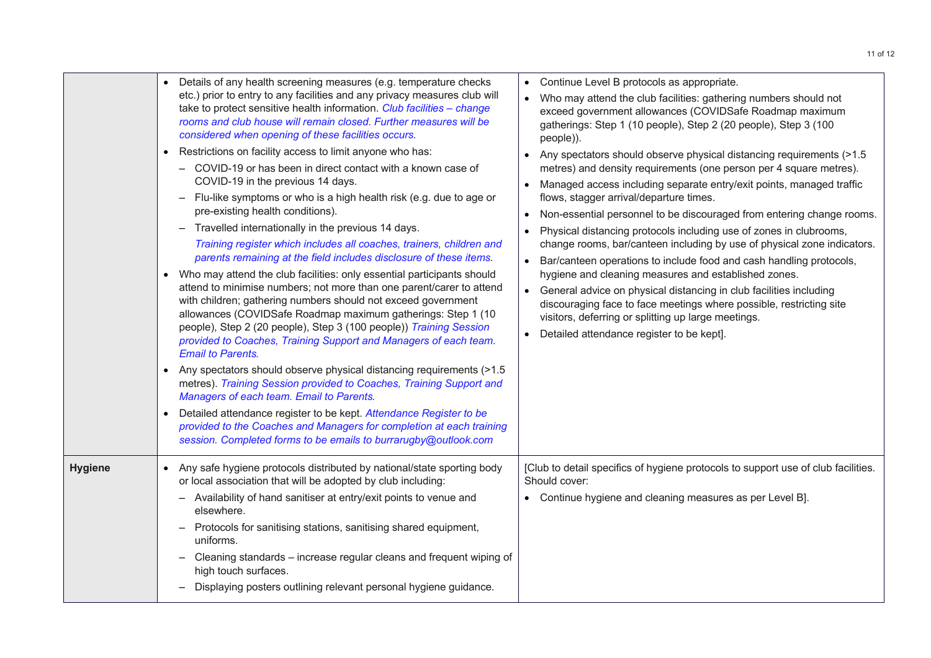|                | $\bullet$<br>$\bullet$<br>$\bullet$ | Details of any health screening measures (e.g. temperature checks<br>etc.) prior to entry to any facilities and any privacy measures club will<br>take to protect sensitive health information. Club facilities - change<br>rooms and club house will remain closed. Further measures will be<br>considered when opening of these facilities occurs.<br>Restrictions on facility access to limit anyone who has:<br>COVID-19 or has been in direct contact with a known case of<br>COVID-19 in the previous 14 days.<br>Flu-like symptoms or who is a high health risk (e.g. due to age or<br>pre-existing health conditions).<br>Travelled internationally in the previous 14 days.<br>$-$<br>Training register which includes all coaches, trainers, children and<br>parents remaining at the field includes disclosure of these items.<br>Who may attend the club facilities: only essential participants should<br>attend to minimise numbers; not more than one parent/carer to attend<br>with children; gathering numbers should not exceed government<br>allowances (COVIDSafe Roadmap maximum gatherings: Step 1 (10<br>people), Step 2 (20 people), Step 3 (100 people)) Training Session<br>provided to Coaches, Training Support and Managers of each team.<br><b>Email to Parents.</b><br>Any spectators should observe physical distancing requirements (>1.5<br>metres). Training Session provided to Coaches, Training Support and<br>Managers of each team. Email to Parents.<br>Detailed attendance register to be kept. Attendance Register to be<br>provided to the Coaches and Managers for completion at each training<br>session. Completed forms to be emails to burrarugby@outlook.com | $\bullet$<br>$\bullet$ | Continue Level B protocols as appropriate.<br>Who may attend the club facilities: gathering numbers should not<br>exceed government allowances (COVIDSafe Roadmap maximum<br>gatherings: Step 1 (10 people), Step 2 (20 people), Step 3 (100<br>people)).<br>Any spectators should observe physical distancing requirements (>1.5<br>metres) and density requirements (one person per 4 square metres).<br>Managed access including separate entry/exit points, managed traffic<br>flows, stagger arrival/departure times.<br>Non-essential personnel to be discouraged from entering change rooms.<br>Physical distancing protocols including use of zones in clubrooms,<br>change rooms, bar/canteen including by use of physical zone indicators.<br>Bar/canteen operations to include food and cash handling protocols,<br>hygiene and cleaning measures and established zones.<br>General advice on physical distancing in club facilities including<br>discouraging face to face meetings where possible, restricting site<br>visitors, deferring or splitting up large meetings.<br>Detailed attendance register to be kept]. |
|----------------|-------------------------------------|----------------------------------------------------------------------------------------------------------------------------------------------------------------------------------------------------------------------------------------------------------------------------------------------------------------------------------------------------------------------------------------------------------------------------------------------------------------------------------------------------------------------------------------------------------------------------------------------------------------------------------------------------------------------------------------------------------------------------------------------------------------------------------------------------------------------------------------------------------------------------------------------------------------------------------------------------------------------------------------------------------------------------------------------------------------------------------------------------------------------------------------------------------------------------------------------------------------------------------------------------------------------------------------------------------------------------------------------------------------------------------------------------------------------------------------------------------------------------------------------------------------------------------------------------------------------------------------------------------------------------------------------------------------------------------------------------------------|------------------------|--------------------------------------------------------------------------------------------------------------------------------------------------------------------------------------------------------------------------------------------------------------------------------------------------------------------------------------------------------------------------------------------------------------------------------------------------------------------------------------------------------------------------------------------------------------------------------------------------------------------------------------------------------------------------------------------------------------------------------------------------------------------------------------------------------------------------------------------------------------------------------------------------------------------------------------------------------------------------------------------------------------------------------------------------------------------------------------------------------------------------------------|
| <b>Hygiene</b> |                                     | Any safe hygiene protocols distributed by national/state sporting body<br>or local association that will be adopted by club including:<br>Availability of hand sanitiser at entry/exit points to venue and<br>elsewhere.<br>Protocols for sanitising stations, sanitising shared equipment,<br>uniforms.<br>Cleaning standards - increase regular cleans and frequent wiping of<br>high touch surfaces.<br>Displaying posters outlining relevant personal hygiene guidance.                                                                                                                                                                                                                                                                                                                                                                                                                                                                                                                                                                                                                                                                                                                                                                                                                                                                                                                                                                                                                                                                                                                                                                                                                                    |                        | [Club to detail specifics of hygiene protocols to support use of club facilities.<br>Should cover:<br>• Continue hygiene and cleaning measures as per Level B].                                                                                                                                                                                                                                                                                                                                                                                                                                                                                                                                                                                                                                                                                                                                                                                                                                                                                                                                                                      |